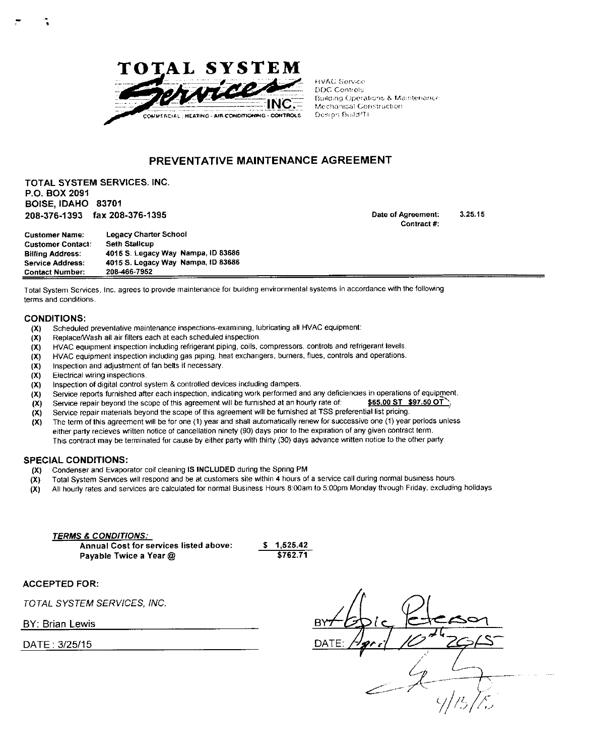

**HVAC Service DDC Controls** Building Operations & Maintenance Mechanical Construction Design Build/TI

# **PREVENTATIVE MAINTENANCE AGREEMENT**

**TOTAL SYSTEM SERVICES. INC. P.O. BOX 2091 BOISE, IDAHO 83701 208-376-1393 fax 208-376-1395** 

**Date of Agreement: 3.25.15**  Contract #:

| <b>Customer Name:</b>    | <b>Legacy Charter School</b>       |
|--------------------------|------------------------------------|
| <b>Customer Contact:</b> | <b>Seth Stallcup</b>               |
| <b>Billing Address:</b>  | 4015 S. Legacy Way Nampa, ID 83686 |
| <b>Service Address:</b>  | 4015 S. Legacy Way Nampa, ID 83686 |
| <b>Contact Number:</b>   | 208-466-7952                       |

Total System Services, Inc. agrees to provide maintenance for building environmental systems in accordance with the following terms and conditions.

## **CONDITIONS:**

- (X) Scheduled preventative maintenance inspections-examining, lubricating all HVAC equipment:
- (X) Replace/Wash all air filters each at each scheduled inspection.
- **(X)** HVAC equipment inspection including refrigerant piping, coils, compressors, controls and refrigerant levels.
- **(X)** HVA C equipment inspection including gas piping, heat exchangers, burners, flues, controls and operations,
- **(X)** Inspection and adjustment of fan belts if necessary,
- **(X)** Electrical wiring inspections.
- **(X)** Inspection of digital control system & controlled devices including dampers,
- **(X)** Service reports furnished after each inspection, indicating work performed and any deficiencies in operations of equipment.
- **(X)** Service repair beyond the scope of this agreement will be furnished at an hourly rate of: **^65.00 ST \$97.50 OT^.**
- **(X)** Service repair materials beyond the scope of this agreement will be furnished at TSS preferential list pricing,
- **(X)** The term of this agreement will be for one (1) year and shall automatically renew for successive one {1) year periods unless either party recieves written notice of cancellation ninety (90) days prior to the expiration of any given contract term. This contract may be terminated for cause by either party with thirty (30) days advance written notice to the other party

#### **SPECIAL CONDITIONS:**

- **(X)** Condenser and Evaporator coil cleaning **IS INCLUDED** during the Spring PM
- **(X)** Total System Services will respond and be at customers site within **4** hours of a service call during normal business hours,
- **(X)** All hourly rates and services are calculated for normal Business Hours 8:00am to 5:00pm Monday through Friday, excluding holidays

**TERMS & CONDITIONS: Annual Cost for services listed above: \$ 1,525.42 Payable Twice a Year @ 6762.71** 

**ACCEPTED FOR:** 

*TOTAL SYSTEM SERVICES. INC.* 

**BY. Brian Lewis** 

DATE: 3/25/15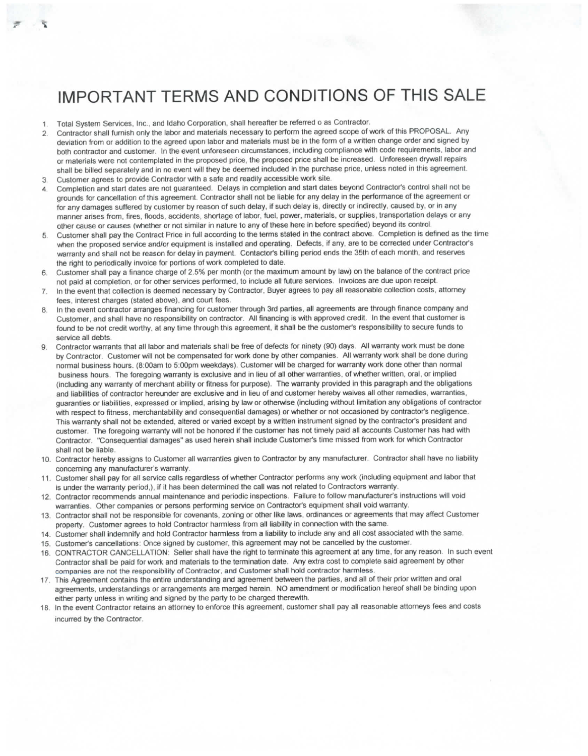# IMPORTANT TERMS AND CONDITIONS OF THIS SALE

- 1, Total System Services, Inc., and Idaho Corporation, shall hereafter be referred o as Contractor,
- 2, Contractor shall furnish only the labor and materials necessary to perform the agreed scope of work of this PROPOSAL , Any deviation from or addition to the agreed upon labor and materials must be in the form of a written change order and signed by both contractor and customer. In the event unforeseen circumstances, including compliance with code requirements, labor and or materials were not contemplated in the proposed price, the proposed price shall be increased. Unforeseen drywali repairs shall be billed separately and in no event will they be deemed included in the purchase price, unless noted in this agreement.
- 3. Customer agrees to provide Contractor with a safe and readily accessible work site.
- 4, Completion and start dates are not guaranteed. Delays in completion and start dates beyond Contractor's control shall not be grounds for cancellation of this agreement. Contractor shall not be liable for any delay in the performance of the agreement or for any damages suffered by customer by reason of such delay, if such delay is, directly or indirectly, caused by, or in any manner arises from, fires, floods, accidents, shortage of labor, fuel, power, materials, or supplies, transportation delays or any other cause or causes (whether or not similar in nature to any of these here in before specified) beyond its control.
- 5, Customer shall pay the Contract Price in full according to the terms stated in the contract above. Completion is defined as the time when the proposed service and/or equipment is installed and operating. Defects, if any, are to be corrected under Contractor's warranty and shall not be reason for delay in payment. Contactor's billing period ends the 35th of each month, and reserves the right to periodically invoice for portions of *work* completed to date,
- 6, Customer shall pay a finance charge of 2,5% per month (or the maximum amount by law) on the balance of the contract price not paid at completion, or for other services performed, to include all future services. Invoices are due upon receipt,
- 7, In the event that collection is deemed necessary by Contractor, Buyer agrees to pay all reasonable collection costs, attomey fees, interest charges (stated above), and court fees
- 8, In the event contractor arranges financing for customer through 3rd parties, all agreements are through finance company and Customer, and shall have no responsibility on contractor. All financing is with approved credit. In the event that customer is found to be not credit worthy, at any time through this agreement, it shall be the customer's responsibility to secure funds to service all debts.
- 9, Contractor warrants that all labor and materials shall be free of defects for ninety (90) days. All warranty work must be done by Contractor. Customer will not be compensated for work done by other companies. All warranty work shall be done during normal business hours, (8:00am to 5;00pm weekdays). Customer will be charged for warranty work done other than normal business hours. The foregoing warranty is exclusive and in lieu of all other warranties, of whether written, oral, or implied (including any warranty of merchant ability or fitness for purpose). The warranty provided in this paragraph and the obligations and liabilities of contractor hereunder are exclusive and in lieu of and customer hereby waives all other remedies, warranties, guaranties or liabilities, expressed or implied, arising by law or otherwise (including without limitation any obligations of contractor with respect to fitness, merchantability and consequential damages) or whether or not occasioned by contractor's negligence. This warranty shall not be extended, altered or varied except by a written instrument signed by the contractor's president and customer. The foregoing warranty will not be honored if the customer has not timely paid all accounts Customer has had with Contractor, "Consequential damages" as used herein shall include Customer's time missed from work for which Contractor shall not be liable.
- 10, Contractor hereby assigns to Customer all warranties given to Contractor by any manufacturer. Contractor shall have no liability concerning any manufacturer's warranty,
- 11, Customer shall pay for all service calls regardless of whether Contractor performs any work (including equipment and labor that is under the warranty period,), if it has been determined the call was not related to Contractors warranty.
- 12, Contractor recommends annual maintenance and periodic inspections. Failure to follow manufacturer's instructions will void warranties. Other companies or persons performing service on Contractor's equipment shall void warranty,
- 13, Contractor shall not be responsible for covenants, zoning or other like laws, ordinances or agreements that may affect Customer property. Customer agrees to hold Contractor harmless from all liability in connection with the same
- 14, Customer shall indemnify and hold Contractor harmless from a liability to include any and all cost associated with the same.
- 15, Customer's cancellations: Once signed by customer, this agreement may not be cancelled by the customer,
- 16 CONTRACTOR CANCELLATION: Seller shall have the right to terminate this agreement at any time, for any reason In such event Contractor shall be paid for work and materials to the termination date. Any extra cost to complete said agreement by other companies are not the responsibility of Contractor, and Customer shall hold contractor harmless
- 17. This Agreement contains the entire understanding and agreement between the parties, and all of their prior written and oral agreements, understandings or arrangements are merged herein, NO amendment or modification hereof shall be binding upon either party unless in writing and signed by the party to be charged therewith.
- 18. In the event Contractor retains an attorney to enforce this agreement, customer shall pay all reasonable attorneys fees and costs incurred by the Contractor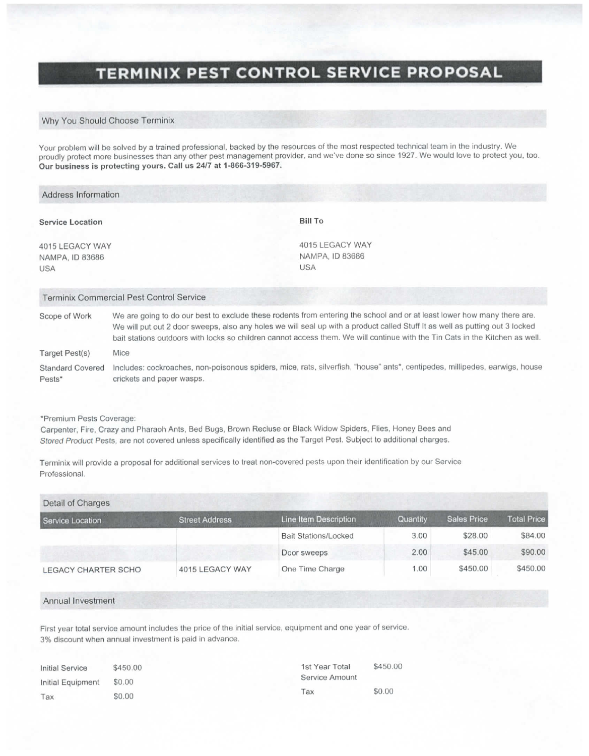# **TERMINIX PEST CONTROL SERVICE PROPOSAL**

# Why You Should Choose Terminix

Your problem will be solved by a trained professional, backed by the resources of the most respected technical team in the industry. We proudly protect more businesses than any other pest management provider, and we've done so since 1927. We would love to protect you, too. **Our business is protecting yours. Gail us 24/7 at 1-866-319-5967.** 

| Address Information                       |                                                                                                                                                                                                                                                                                                                                                                                         |                 |  |  |
|-------------------------------------------|-----------------------------------------------------------------------------------------------------------------------------------------------------------------------------------------------------------------------------------------------------------------------------------------------------------------------------------------------------------------------------------------|-----------------|--|--|
| <b>Service Location</b>                   | <b>Bill To</b>                                                                                                                                                                                                                                                                                                                                                                          |                 |  |  |
| 4015 LEGACY WAY<br>NAMPA, ID 83686<br>USA | NAMPA, ID 83686<br><b>USA</b>                                                                                                                                                                                                                                                                                                                                                           | 4015 LEGACY WAY |  |  |
|                                           | <b>Terminix Commercial Pest Control Service</b>                                                                                                                                                                                                                                                                                                                                         |                 |  |  |
| Scope of Work                             | We are going to do our best to exclude these rodents from entering the school and or at least lower how many there are.<br>We will put out 2 door sweeps, also any holes we will seal up with a product called Stuff It as well as putting out 3 locked<br>bait stations outdoors with locks so children cannot access them. We will continue with the Tin Cats in the Kitchen as well. |                 |  |  |
| Target Pest(s)                            | Mice                                                                                                                                                                                                                                                                                                                                                                                    |                 |  |  |
| <b>Standard Covered</b><br>Pests*         | Includes: cockroaches, non-poisonous spiders, mice, rats, silverfish, "house" ants*, centipedes, millipedes, earwigs, house<br>crickets and paper wasps.                                                                                                                                                                                                                                |                 |  |  |
|                                           |                                                                                                                                                                                                                                                                                                                                                                                         |                 |  |  |

"Premium Pests Coverage:

Carpenter, Fire, Crazy and Pharaoh Ants, Bed Bugs, Brown Recluse or Black Widow Spiders, Flies. Honey Bees and *Stored Product* Pests, are not covered unless specifically identified as the Target Pest. Subject to additional charges.

Terminix will provide a proposal for additional services to treat non-covered pests upon their identification by our Service Professional,

| Detail of Charges   |                       |                             |          |                    |                    |
|---------------------|-----------------------|-----------------------------|----------|--------------------|--------------------|
| Service Location    | <b>Street Address</b> | Line Item Description       | Quantity | <b>Sales Price</b> | <b>Total Price</b> |
|                     |                       | <b>Bait Stations/Locked</b> | 3.00     | \$28.00            | \$84.00            |
|                     |                       | Door sweeps                 | 2.00     | \$45.00            | \$90.00            |
| LEGACY CHARTER SCHO | 4015 LEGACY WAY       | One Time Charge             | 1.00     | \$450.00           | \$450.00           |

#### Annual Investment

First year total service amount includes the price of the initial service, equipment and one year of service. 3% discount when annual investment is paid in advance.

| <b>Initial Service</b> | \$450.00 | \$450.00<br>1st Year Total |        |
|------------------------|----------|----------------------------|--------|
| Initial Equipment      | \$0.00   | <b>Service Amount</b>      |        |
| Tax                    | \$0.00   | Tax                        | \$0.00 |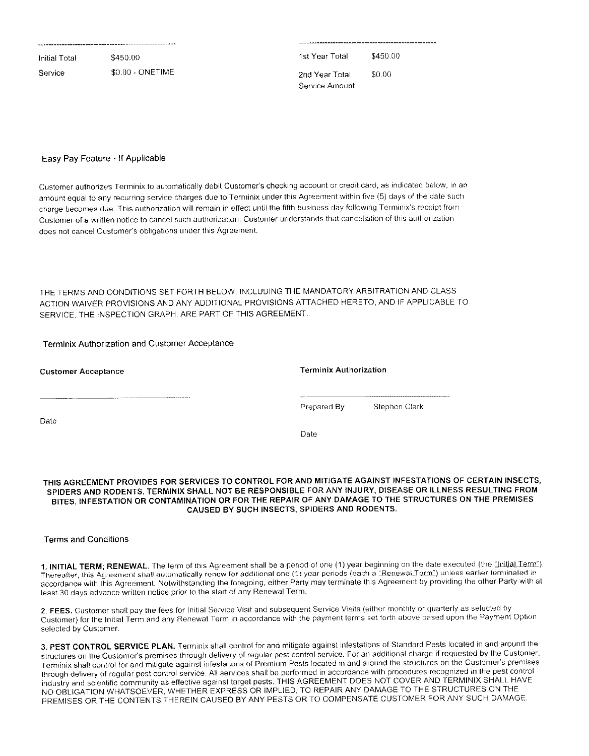| Initial Total | \$450.00         | 1st Year Total                   | \$450.00 |
|---------------|------------------|----------------------------------|----------|
| Service       | \$0.00 - ONETIME | 2nd Year Total<br>Service Amount | \$0.00   |
|               |                  |                                  |          |

# Easy Pay Feature - If Applicable

Customer authorizes Terminjx to automatically debil Customer's checking account or credit card, as indicated below, in an amount equal to any recurring service charges due to Terminix under this Agreement within five (5) days of the date such charge becomes due. This authorization will remain in effect until the fifth business day following Terminix's receipt from Customer of a written notice to cancel such authorization Customer understands that cancellation of this authorization does not cancel Customer's obligations under this Agreement.

THE TERMS AND CONDITIONS SET FORTH BELOW, INCLUDING THE MANDATORY ARBITRATION AND CLASS ACTION WAIVER PROVISIONS AND ANY ADDITIONAL PROVISIONS ATTACHED HERETO, AND IF APPLICABLE TO SERVICE, THE INSPECTION GRAPH, ARE PART OF THIS AGREEMENT.

# Terminix Authorization and Customer Acceptance

| <b>Customer Acceptance</b> | <b>Terminix Authorization</b> |               |  |
|----------------------------|-------------------------------|---------------|--|
|                            | Prepared By                   | Stephen Clark |  |
| Date                       | Date                          |               |  |

## THIS AGREEMENT PROVIDES FOR SERVICES TO CONTROL FOR AND MITIGATE AGAINST INFESTATIONS OF CERTAIN INSECTS, SPIDERS AND RODENTS. TERMINIX SHALL NOT BE RESPONSIBLE FOR ANY INJURY, DISEASE OR ILLNESS RESULTING FROM BITES, INFESTATION OR CONTAMINATION OR FOR THE REPAIR OF ANY DAMAGE TO THE STRUCTURES ON THE PREMISES CAUSED BY SUCH INSECTS, SPIDERS AND RODENTS.

# Terms and Conditions

**1.** INITIAL TERM ; RENEWAL . The term of this Agreement shall be a period of one (1) year beginning on Ihe date executed (the "Initial Term"). Thereafter, this Agreement shall automatically renew for additional one (1) year periods (oach a "Renewal Term") unless earlier terminated in accordance with this Agreement, Nolwilhstanding the foregoing, either Party may terminate this Agreement by providing the other Parly with at least 30 days advance written notice prior to the start of any Renewal Term,

2. FEES. Customer shall pay the fees for Initial Service Visit and subsequent Service Visits (either monthly or quarterly as selected by Customer) for the Initial Term and any Renewal Term in accordance with the payment terms set forth above based upon the Payment Option selected by Customer,

3. PEST CONTROL SERVICE PLAN. Terminix shall control for and mitigate against infestations of Standard Pests located in and around the structures on the Customer's premises through delivery of regular pest control service. For an additional charge if requested by the Customer, Terminix shall control for and mitigate against infestations of Premium Pests located in and around the structures on the Customer's premises through delivery of regular pest control service. All services shall be performed in accordance with procedures recognized in Ihe pest control industry and scientific community as effective against target pests. THIS AGREEMENT DOES NOT COVER AND TERMINIX SHALL HAVE NO OBLIGATION WHATSOEVER, WHETHER EXPRESS OR IMPLIED, TO REPAIR ANY DAMAGE TO THE STRUCTURES ON THE PREMISES OR THE CONTENTS THEREIN CAUSED BY ANY PESTS OR TO COMPENSATE CUSTOMER FOR ANY SUCH DAMAGE.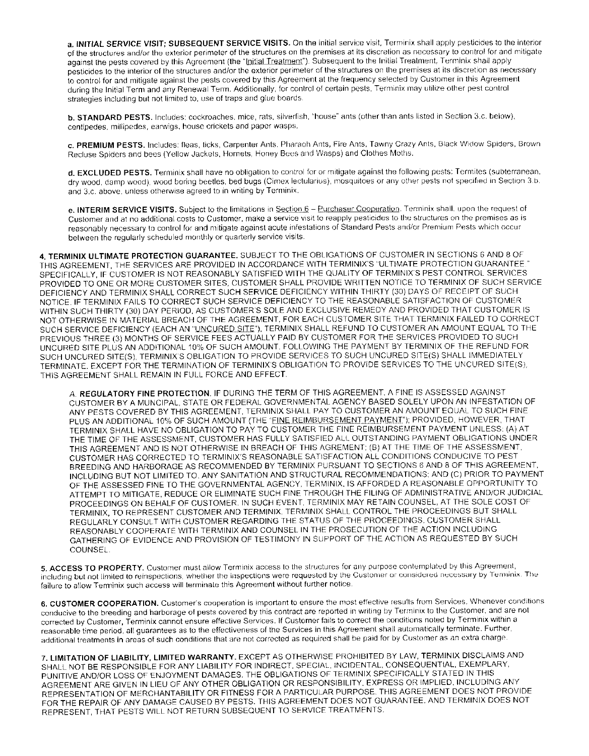a. INITIAL SERVICE VISIT; SUBSEQUENT SERVICE VISITS. On the initial service visit, Terminix shall apply pesticides to the interior of the structures and/or the exterior perimeter of the structures on the premises at its discretion as necessary to control for and mitigate against the pests covered by this Agreement (the "Initial Treatment"). Subsequent to the Initial Treatment, Terminix shall apply pesticides to the interior of the structures and/or the exterior perimeter of the structures on the premises at its discretion as necessary to control for and mitigate against the pests covered by this Agreement at the frequency selected by Customer in this Agreement during the Initial Term and any Renewal Term, Additionally, for control of certain pesls. Terminix may ulihre other pest conlrol strategies including but not limited to, use of traps and glue boards.

**b.** STANDARD PESTS. Includes: cockroaches, mice, rats, silverfish, "house" ants (other than ants listed in Section 3.c. below), centipedes, millipedes, earwigs, house crickets and paper wasps.

c. PREMIUM PESTS. Includes: fleas, ticks, Carpenter Ants, Pharaoh Ants, Fire Ants, Tawny Crazy Ants, Black Widow Spiders, Brown Recluse Spiders and bees (Yellow Jackets, Hornets, Honey Bees and Wasps) and Clothes Moths.

d. EXCLUDED PESTS. Terminix shall have no obligation to control for or mitigate against the following pests: Termites (subterranean, dry wood, damp wood), wood boring beetles, bed bugs (Cimex lectulanus), mosquitoes or any otfier pests not specified in Section 3,b, and 3,c, above, unless otherwise agreed to in writing by Terminix,

e. INTERIM SERVICE VISITS. Subject to the limitations in Section 6 - Purchaser Cooperation. Terminix shall, upon the request of Customer and at no additional costs to Customer, make a service visit to reapply pesticides to the structures on the premises as is reasonably necessary to control for and mitigate against acute infestations of Standard Pests and/or Premium Pests whicli occur between the regularly scheduled monthly or quarterly service visits.

4. TERMINIX ULTIMATE PROTECTION GUARANTEE. SUBJECT TO THE OBLIGATIONS OF CUSTOMER IN SECTIONS 6 AND 8 OF THIS AGREEMENT, THE SERVICES ARE PROVIDED IN ACCORDANCE WITH TERMINIX'S "ULTIMATE PROTECTION GUARANTEE. SPECIFICALLY, IF CUSTOMER IS NOT REASONABLY SATISFIED WITH THE QUALITY OF TERMINIX'S PEST CONTROL SERVICES PROVIDED TO ONE OR MORE CUSTOMER SITES, CUSTOMER SHALL PROVIDE WRITTEN NOTICE TO TERMINIX OF SUCH SERVICE DEFICIENCY AND TERMINIX SHALL CORRECT SUCH SERVICE DEFICIENCY WITHIN THIRTY (30) DAYS OF RECEIPT OF SUCH NOTICE. IF TERMINIX FAILS TO CORRECT SUCH SERVICE DEFICIENCY TO THE REASONABLE SATISFACTION OF CUSTOMER WITHIN SUCH THIRTY (30) DAY PERIOD, AS CUSTOMER'S SOLE AND EXCLUSIVE REMEDY AND PROVIDED THAT CUSTOMER IS NOT OTHERWISE IN MATERIAL BREACH OF THE AGREEMENT, FOR EACH CUSTOMER SITE THAT TERMINIX FAILED TO CORRECT SUCH SERVICE DEFICIENCY (EACH AN "UNCURED SITE"), TERMINIX SHALL REFUND TO CUSTOMER AN AMOUNT EQUAL TO THE PREVIOUS THREE (3) MONTHS OF SERVICE FEES ACTUALLY PAID BY CUSTOMER FOR THE SERVICES PROVIDED TO SUCH UNCURED SITE PLUS AN ADDITIONAL 10% OF SUCH AMOUNT. FOLLOWING THE PAYMENT BY TERMINIX OF THE REFUND FOR SUCH UNCURED SITE(S), TERMINIX'S OBLIGATION TO PROVIDE SERVICES TO SUCH UNCURED SITE(S) SHALL IMMEDIATELY TERMINATE, EXCEPT FOR THE TERMINATION OF TERMINIX'S OBLIGATION TO PROVIDE SERVICES TO THE UNCURED SITE(S), THIS AGREEMENT SHALL REMAIN IN FULL FORCE AND EFFECT.

A, REGULATORY FINE PROTECTION. IF DURING THE TERM OF THIS AGREEMENT, A FINE IS ASSESSED AGAINST CUSTOMER BY A MUNCIPAL, STATE OR FEDERAL GOVERNMENTAL AGENCY BASED SOLELY UPON AN INFESTATION OF ANY PESTS COVERED BY THIS AGREEMENT, TERMINIX SHALL PAY TO CUSTOMER AN AMOUNT EQUAL TO SUCH FINE PLUS AN ADDITIONAL 10% OF SUCH AMOUNT (THE "FINE REIMBURSEMENT PAYMENT"); PROVIDED, HOWEVER, THAT TERMINIX SHALL HAVE NO OBLIGATION TO PAY TO CUSTOMER THE FINE REIMBURSEMENT PAYMENT UNLESS: (A) AT THE TIME OF THE ASSESSMENT, CUSTOMER HAS FULLY SATISFIED ALL OUTSTANDING PAYMENT OBLIGATIONS UNDER THIS AGREEMENT AND IS NOT OTHERWISE IN BREACH OF THIS AGREMENT; (B) AT THE TIME OF THE ASSESSMENT. CUSTOMER HAS CORRECTED TO TERMINIX'S REASONABLE SATISFACTION ALL CONDITIONS CONDUCIVE TO PEST BREEDING AND HARBORAGE AS RECOMMENDED BY TERMINIX PURSUANT TO SECTIONS 6 AND 8 OF THIS AGREEMENT, INCLUDING BUT NOT LIMITED TO, ANY SANITATION AND STRUCTURAL RECOMMENDATIONS; AND (C) PRIOR TO PAYMENT OF THE ASSESSED FINE TO THE GOVERNMENTAL AGENCY, TERMINIX, IS AFFORDED A REASONABLE OPPORTUNITY TO ATTEMPT TO MITIGATE, REDUCE OR ELIMINATE SUCH FINE THROUGH THE FILING OF ADMINISTRATIVE AND/OR JUDICIAL PROCEEDINGS ON BEHALF OF CUSTOMER. IN SUCH EVENT, TERMINIX MAY RETAIN COUNSEL, AT THE SOLE COST OF TERMINIX, TO REPRESENT CUSTOMER AND TERMINIX. TERMINIX SHALL CONTROL THE PROCEEDINGS BUT SHALL REGULARLY CONSULT WITH CUSTOMER REGARDING THE STATUS OF THE PROCEEDINGS. CUSTOMER SHALL REASONABLY COOPERATE WITH TERMINIX AND COUNSEL IN THE PROSECUTION OF THE ACTION INCLUDING GATHERING OF EVIDENCE AND PROVISION OF TESTIMONY IN SUPPORT OF THE ACTION AS REQUESTED BY SUCH COUNSEL.

5. ACCESS TO PROPERTY. Customer must allow Terminix access to the structures for any purpose contemplated by this Agreement, including but not limited to reinspections, whether the inspections were requested by the Customer or considered necessary by Terminix. The failure to allow Terminix such access will terminale this Agreement without further notice.

6. CUSTOMER COOPERATION. Customer's cooperation is important to ensure the most effective results from Services. Whenever conditions conducive to the breeding and harborage of pests covered by this contract are reported in writing by Terminix to the Customer, and are not corrected by Customer, Terminix cannot ensure effective Services, If Customer fails to correct the conditions noted by Terminix within a reasonable time period, all guarantees as to the effectiveness of the Services in this Agreement shall automatically terminate. Further, additional treatments in areas of such conditions that are not corrected as required shall be paid for by Customer as an extra charge

7. LIMITATION OF LIABILITY, LIMITED WARRANTY. EXCEPT AS OTHERWISE PROHIBITED BY LAW, TERMINIX DISCLAIMS AND SHALL NOT BE RESPONSIBLE FOR ANY LIABILITY FOR INDIRECT, SPECIAL, INCIDENTAL, CONSEQUENTIAL, EXEMPLARY, PUNITIVE AND/OR LOSS OF ENJOYMENT DAMAGES. THE OBLIGATIONS OF TERMINIX SPECIFICALLY STATED IN THIS AGREEMENT ARE GIVEN IN LIEU OF ANY OTHER OBLIGATION OR RESPONSIBILITY. EXPRESS OR IMPLIED, INCLUDING ANY REPRESENTATION OF MERCHANTABILITY OR FITNESS FOR A PARTICULAR PURPOSE. THIS AGREEMENT DOES NOT PROVIDE FOR THE REPAIR OF ANY DAMAGE CAUSED BY PESTS. THIS AGREEMENT DOES NOT GUARANTEE, AND TERMINIX DOES NOT REPRESENT, THAT PESTS WILL NOT RETURN SUBSEQUENT TO SERVICE TREATMENTS.